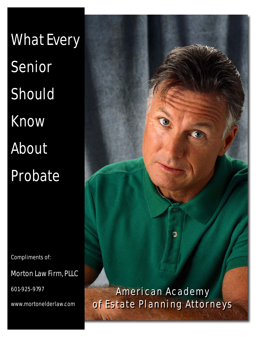What Every Senior Should Know About Probate

Compliments of:

Morton Law Firm, PLLC

601-925-9797

www.mortonelderlaw.com

American Academy American Academy of Estate Planning Attorneys of Estate Planning Attorneys

Ð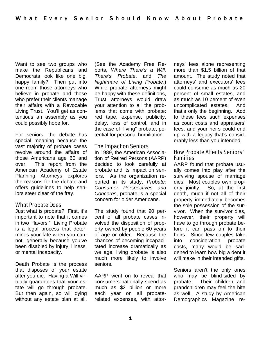Want to see two groups who make the Republicans and Democrats look like one big, happy family? Then put into one room those attorneys who believe in probate and those who prefer their clients manage their affairs with a Revocable Living Trust. You'll get as contentious an assembly as you could possibly hope for.

For seniors, the debate has special meaning because the vast majority of probate cases revolve around the affairs of those Americans age 60 and over. This report from the American Academy of Estate Planning Attorneys explores the reasons for the debate and offers guidelines to help seniors steer clear of the fray.

## What Probate Does

Just what is probate? First, it's important to note that it comes in two "flavors." Living Probate is a legal process that determines your fate when you cannot, generally because you've been disabled by injury, illness, or mental incapacity.

Death Probate is the process that disposes of your estate after you die. Having a Will virtually guarantees that your estate will go through probate. But then again, so will dying without any estate plan at all.

(See the Academy Free Reports, *Where There's a Will, There's Probate*, and *The Nightmare of Living Probate*.) While probate attorneys might be happy with these definitions, Trust attorneys would draw your attention to all the problems that come with probate: red tape, expense, publicity, delay, loss of control, and in the case of "living" probate, potential for personal humiliation.

### The Impact on Seniors

In 1989, the American Association of Retired Persons (AARP) decided to look carefully at probate and its impact on seniors. As the organization reported in its study, *Probate: Consumer Perspectives and Concerns*, probate is a special concern for older Americans.

The study found that 90 percent of all probate cases involved the disposition of property owned by people 60 years of age or older. Because the chances of becoming incapacitated increase dramatically as we age, living probate is also much more likely to involve seniors.

AARP went on to reveal that consumers nationally spend as much as \$2 billion or more each year on all probaterelated expenses, with attorneys' fees alone representing more than \$1.5 billion of that amount. The study noted that attorneys' and executors' fees could consume as much as 20 percent of small estates, and as much as 10 percent of even uncomplicated estates. And that's only the beginning. Add to these fees such expenses as court costs and appraisers' fees, and your heirs could end up with a legacy that's considerably less than you intended.

# How Probate Affects Seniors' Families

AARP found that probate usually comes into play after the surviving spouse of marriage dies. Most couples own property jointly. So, at the first death, much if not all of their property immediately becomes the sole possession of the survivor. When the survivor dies, however, their property will have to go through probate before it can pass on to their heirs. Since few couples take into consideration probate costs, many would be saddened to learn how big a dent it will make in their intended gifts.

Seniors aren't the only ones who may be blind-sided by probate. Their children and grandchildren may feel the bite as well. A study by American Demographics Magazine re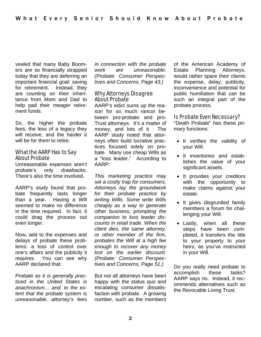vealed that many Baby Boomers are so financially strapped today that they are deferring an important financial goal: saving for retirement. Instead, they are counting on their inheritance from Mom and Dad to help pad their meager retirement funds.

So, the higher the probate fees, the less of a legacy they will receive, and the harder it will be for them to retire.

### What the AARP Has to Say About Probate

Unreasonable expenses aren't probate's only drawbacks. There's also the time involved.

AARP's study found that probate frequently lasts longer than a year. Having a Will seemed to make no difference in the time required. In fact, it could drag the process out even longer.

Now, add to the expenses and delays of probate these problems: a loss of control over one's affairs and the publicity it requires. You can see why AARP declared that:

*Probate as it is generally practiced in the United States is anachronism… and, to the extent that the probate system is unreasonable, attorney's fees*  *in connection with the probate work are unreasonable. (Probate: Consumer Perspectives and Concerns, Page 43.)* 

## Why Attorneys Disagree About Probate

AARP's edict sums up the reason for so much rancor between pro-probate and pro-Trust attorneys. It's a matter of money, and lots of it. The AARP study noted that attorneys often build lucrative practices focused solely on probate. Many use cheap Wills as a "loss leader." According to AARP:

*This marketing practice may set a costly trap for consumers. Attorneys lay the groundwork for their probate practice by writing Wills. Some write Wills cheaply as a way to generate other business, prompting the companion to loss leader discounts in retail trade. When the client dies, the same attorney, or other member of the firm, probates the Will at a high fee enough to recover any money lost on the earlier discount. (Probate: Consumer Perspectives and Concerns, Page 51.)* 

But not all attorneys have been happy with the status quo and escalating consumer dissatisfaction with probate. A growing number, such as the members of the American Academy of Estate Planning Attorneys, would rather spare their clients the expense, delay, publicity, inconvenience and potential for public humiliation that can be such an integral part of the probate process.

## Is Probate Even Necessary?

"Death Probate" has these primary functions:

- It verifies the validity of your Will.
- It inventories and establishes the value of your significant assets.
- It provides your creditors with the opportunity to make claims against your estate.
- It gives disgruntled family members a forum for challenging your Will.
- Lastly, when all these steps have been completed, it transfers the title to your property to your heirs, as you've instructed in your Will.

Do you really need probate to accomplish these tasks? AARP says no. Instead, it recommends alternatives such as the Revocable Living Trust.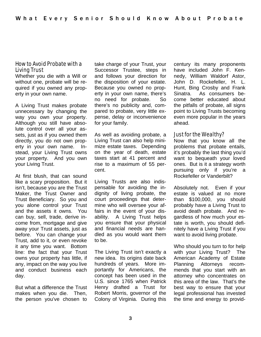### How to Avoid Probate with a Living Trust

Whether you die with a Will or without one, probate will be required if you owned any property in your own name.

A Living Trust makes probate unnecessary by changing the way you own your property. Although you still have absolute control over all your assets, just as if you owned them directly, you do not own property in your own name. Instead, your Living Trust owns your property. And you own your Living Trust.

At first blush, that can sound like a scary proposition. But it isn't, because you are the Trust Maker, the Trust Owner and Trust Beneficiary. So you and you alone control your Trust and the assets it owns. You can buy, sell, trade, derive income from, mortgage and give away your Trust assets, just as before. You can change your Trust, add to it, or even revoke it any time you want. Bottom line: the fact that your Trust owns your property has little, if any, impact on the way you live and conduct business each day.

But what a difference the Trust makes when you die. Then, the person you've chosen to

take charge of your Trust, your Successor Trustee, steps in and follows your direction for the disposition of your estate. Because you owned no property in your own name, there's no need for probate. So there's no publicity and, compared to probate, very little expense, delay or inconvenience for your family.

As well as avoiding probate, a Living Trust can also help minimize estate taxes. Depending on the year of death, estate taxes start at 41 percent and rise to a maximum of 55 percent.

Living Trusts are also indispensable for avoiding the indignity of living probate, the court proceedings that determine who will oversee your affairs in the event of your disability. A Living Trust helps you ensure that your physical and financial needs are handled as you would want them to be.

The Living Trust isn't exactly a new idea. Its origins date back hundreds of years. More importantly for Americans, the concept has been used in the U.S. since 1765 when Patrick Henry drafted a Trust for Robert Morris, governor of the Colony of Virginia. During this century its many proponents have included John F. Kennedy, William Waldorf Astor, John D. Rockefeller, H. L. Hunt, Bing Crosby and Frank Sinatra. As consumers become better educated about the pitfalls of probate, all signs point to Living Trusts becoming even more popular in the years ahead.

### Just for the Wealthy?

Now that you know all the problems that probate entails, it's probably the last thing you'd want to bequeath your loved ones. But is it a strategy worth pursuing only if you're a Rockefeller or Vanderbilt?

Absolutely not. Even if your estate is valued at no more than \$100,000, you should probably have a Living Trust to avoid death probate. And regardless of how much your estate is worth, you should definitely have a Living Trust if you want to avoid living probate.

Who should you turn to for help with your Living Trust? The American Academy of Estate Planning Attorneys recommends that you start with an attorney who concentrates on this area of the law. That's the best way to ensure that your legal professional has invested the time and energy to provid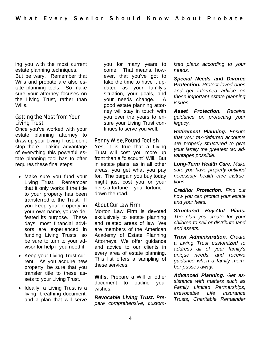ing you with the most current estate planning techniques.

But be wary. Remember that Wills and probate are also estate planning tools. So make sure your attorney focuses on the Living Trust, rather than Wills.

### Getting the Most from Your Living Trust

Once you've worked with your estate planning attorney to draw up your Living Trust, don't stop there. Taking advantage of everything this powerful estate planning tool has to offer requires these final steps:

- Make sure you fund your Living Trust. Remember that it only works if the title to your property has been transferred to the Trust. If you keep your property in your own name, you've defeated its purpose. These days, most financial advisors are experienced in funding Living Trusts, so be sure to turn to your advisor for help if you need it.
- Keep your Living Trust current. As you acquire new property, be sure that you transfer title to these assets to your Living Trust.
- Ideally, a Living Trust is a living, breathing document, and a plan that will serve

you for many years to come. That means, however, that you've got to take the time to have it updated as your family's situation, your goals, and your needs change. A good estate planning attorney will stay in touch with you over the years to ensure your Living Trust continues to serve you well.

#### Penny Wise, Pound Foolish

Yes, it is true that a Living Trust will cost you more up front than a "discount" Will. But in estate plans, as in all other areas, you get what you pay for. The bargain you buy today might just cost you or your heirs a fortune – your fortune – down the road.

## About Our Law Firm

Morton Law Firm is devoted exclusively to estate planning and related areas of law. We are members of the American Academy of Estate Planning Attorneys. We offer guidance and advice to our clients in every area of estate planning. This list offers a sampling of these services.

**Wills.** Prepare a Will or other document to outline your wishes.

*Revocable Living Trust. Prepare comprehensive, custom-* *ized plans according to your needs.* 

*Special Needs and Divorce Protection. Protect loved ones and get informed advice on these important estate planning issues.* 

*Asset Protection. Receive guidance on protecting your legacy.* 

*Retirement Planning. Ensure that your tax-deferred accounts are properly structured to give your family the greatest tax advantages possible.* 

*Long-Term Health Care. Make sure you have properly outlined necessary health care instructions.* 

*Creditor Protection. Find out how you can protect your estate and your heirs.* 

*Structured Buy-Out Plans. The plan you create for your children to sell or distribute land and assets.* 

*Trust Administration. Create a Living Trust customized to address all of your family's unique needs, and receive guidance when a family member passes away.* 

*Advanced Planning. Get assistance with matters such as Family Limited Partnerships, Irrevocable Life Insurance Trusts, Charitable Remainder*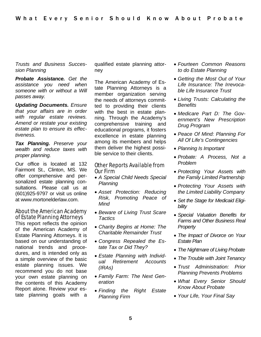*Trusts and Business Succession Planning* 

*Probate Assistance. Get the assistance you need when someone with or without a Will passes away.* 

*Updating Documents. Ensure that your affairs are in order with regular estate reviews. Amend or restate your existing estate plan to ensure its effectiveness.* 

*Tax Planning. Preserve your wealth and reduce taxes with proper planning.* 

Our office is located at 132 Fairmont St., Clinton, MS. We offer comprehensive and personalized estate planning consultations. Please call us at (601)925-9797 or visit us online at www.mortonelderlaw.com.

### About the American Academy of Estate Planning Attorneys

This report reflects the opinion of the American Academy of Estate Planning Attorneys. It is based on our understanding of national trends and procedures, and is intended only as a simple overview of the basic estate planning issues. We recommend you do not base your own estate planning on the contents of this Academy Report alone. Review your estate planning goals with a qualified estate planning attorney

The American Academy of Estate Planning Attorneys is a member organization serving the needs of attorneys committed to providing their clients with the best in estate planning. Through the Academy's comprehensive training and educational programs, it fosters excellence in estate planning among its members and helps them deliver the highest possible service to their clients.

### Other Reports Available from Our Firm

- *A Special Child Needs Special Planning*
- *Asset Protection: Reducing Risk, Promoting Peace of Mind*
- *Beware of Living Trust Scare Tactics*
- *Charity Begins at Home: The Charitable Remainder Trust*
- *Congress Repealed the Estate Tax or Did They?*
- *Estate Planning with Individual Retirement Accounts (IRAs)*
- *Family Farm: The Next Generation*
- *Finding the Right Estate Planning Firm*
- *Fourteen Common Reasons to do Estate Planning*
- *Getting the Most Out of Your Life Insurance: The Irrevocable Life Insurance Trust*
- *Living Trusts: Calculating the Benefits*
- *Medicare Part D: The Government's New Prescription Drug Program*
- *Peace Of Mind: Planning For All Of Life's Contingencies*
- *Planning Is Important*
- *Probate: A Process, Not a Problem*
- *Protecting Your Assets with the Family Limited Partnership*
- *Protecting Your Assets with the Limited Liability Company*
- *Set the Stage for Medicaid Eligibility*
- *Special Valuation Benefits for Farms and Other Business Real Property*
- *The Impact of Divorce on Your Estate Plan*
- *The Nightmare of Living Probate*
- *The Trouble with Joint Tenancy*
- *Trust Administration: Prior Planning Prevents Problems*
- *What Every Senior Should Know About Probate*
- *Your Life, Your Final Say*